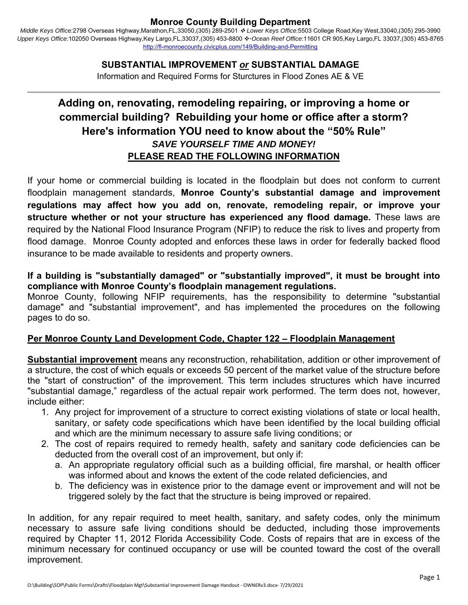*Middle Keys Office:*2798 Overseas Highway,Marathon,FL,33050,(305) 289-2501  *Lower Keys Office:*5503 College Road,Key West,33040,(305) 295-3990 Upper Keys Office:102050 Overseas Highway,Key Largo,FL,33037,(305) 453-8800 \* Ocean Reef Office:11601 CR 905,Key Largo,FL 33037,(305) 453-8765 http://fl-monroecounty.civicplus.com/149/Building-and-Permitting

### **SUBSTANTIAL IMPROVEMENT** *or* **SUBSTANTIAL DAMAGE**

Information and Required Forms for Sturctures in Flood Zones AE & VE

# **Adding on, renovating, remodeling repairing, or improving a home or commercial building? Rebuilding your home or office after a storm? Here's information YOU need to know about the "50% Rule"**  *SAVE YOURSELF TIME AND MONEY!* **PLEASE READ THE FOLLOWING INFORMATION**

If your home or commercial building is located in the floodplain but does not conform to current floodplain management standards, **Monroe County's substantial damage and improvement regulations may affect how you add on, renovate, remodeling repair, or improve your structure whether or not your structure has experienced any flood damage.** These laws are required by the National Flood Insurance Program (NFIP) to reduce the risk to lives and property from flood damage. Monroe County adopted and enforces these laws in order for federally backed flood insurance to be made available to residents and property owners.

#### **If a building is "substantially damaged" or "substantially improved", it must be brought into compliance with Monroe County's floodplain management regulations.**

Monroe County, following NFIP requirements, has the responsibility to determine "substantial damage" and "substantial improvement", and has implemented the procedures on the following pages to do so.

#### **Per Monroe County Land Development Code, Chapter 122 – Floodplain Management**

**Substantial improvement** means any reconstruction, rehabilitation, addition or other improvement of a structure, the cost of which equals or exceeds 50 percent of the market value of the structure before the "start of construction" of the improvement. This term includes structures which have incurred "substantial damage," regardless of the actual repair work performed. The term does not, however, include either:

- 1. Any project for improvement of a structure to correct existing violations of state or local health, sanitary, or safety code specifications which have been identified by the local building official and which are the minimum necessary to assure safe living conditions; or
- 2. The cost of repairs required to remedy health, safety and sanitary code deficiencies can be deducted from the overall cost of an improvement, but only if:
	- a. An appropriate regulatory official such as a building official, fire marshal, or health officer was informed about and knows the extent of the code related deficiencies, and
	- b. The deficiency was in existence prior to the damage event or improvement and will not be triggered solely by the fact that the structure is being improved or repaired.

In addition, for any repair required to meet health, sanitary, and safety codes, only the minimum necessary to assure safe living conditions should be deducted, including those improvements required by Chapter 11, 2012 Florida Accessibility Code. Costs of repairs that are in excess of the minimum necessary for continued occupancy or use will be counted toward the cost of the overall improvement.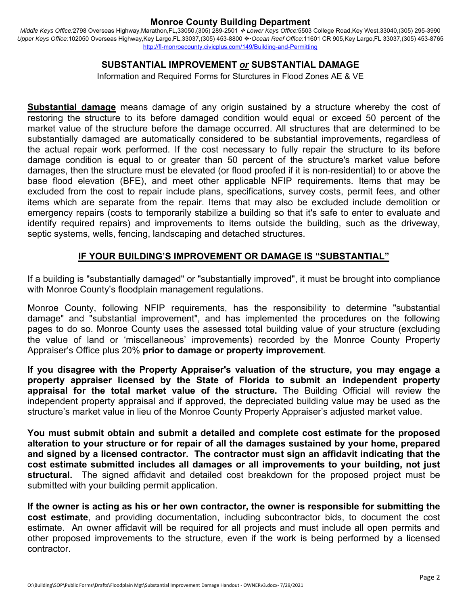*Middle Keys Office:*2798 Overseas Highway,Marathon,FL,33050,(305) 289-2501  *Lower Keys Office:*5503 College Road,Key West,33040,(305) 295-3990 Upper Keys Office:102050 Overseas Highway,Key Largo,FL,33037,(305) 453-8800 \* Ocean Reef Office:11601 CR 905,Key Largo,FL 33037,(305) 453-8765 http://fl-monroecounty.civicplus.com/149/Building-and-Permitting

#### **SUBSTANTIAL IMPROVEMENT** *or* **SUBSTANTIAL DAMAGE**

Information and Required Forms for Sturctures in Flood Zones AE & VE

**Substantial damage** means damage of any origin sustained by a structure whereby the cost of restoring the structure to its before damaged condition would equal or exceed 50 percent of the market value of the structure before the damage occurred. All structures that are determined to be substantially damaged are automatically considered to be substantial improvements, regardless of the actual repair work performed. If the cost necessary to fully repair the structure to its before damage condition is equal to or greater than 50 percent of the structure's market value before damages, then the structure must be elevated (or flood proofed if it is non-residential) to or above the base flood elevation (BFE), and meet other applicable NFIP requirements. Items that may be excluded from the cost to repair include plans, specifications, survey costs, permit fees, and other items which are separate from the repair. Items that may also be excluded include demolition or emergency repairs (costs to temporarily stabilize a building so that it's safe to enter to evaluate and identify required repairs) and improvements to items outside the building, such as the driveway, septic systems, wells, fencing, landscaping and detached structures.

#### **IF YOUR BUILDING'S IMPROVEMENT OR DAMAGE IS "SUBSTANTIAL"**

If a building is "substantially damaged" or "substantially improved", it must be brought into compliance with Monroe County's floodplain management regulations.

Monroe County, following NFIP requirements, has the responsibility to determine "substantial damage" and "substantial improvement", and has implemented the procedures on the following pages to do so. Monroe County uses the assessed total building value of your structure (excluding the value of land or 'miscellaneous' improvements) recorded by the Monroe County Property Appraiser's Office plus 20% **prior to damage or property improvement**.

**If you disagree with the Property Appraiser's valuation of the structure, you may engage a property appraiser licensed by the State of Florida to submit an independent property appraisal for the total market value of the structure.** The Building Official will review the independent property appraisal and if approved, the depreciated building value may be used as the structure's market value in lieu of the Monroe County Property Appraiser's adjusted market value.

**You must submit obtain and submit a detailed and complete cost estimate for the proposed alteration to your structure or for repair of all the damages sustained by your home, prepared and signed by a licensed contractor. The contractor must sign an affidavit indicating that the cost estimate submitted includes all damages or all improvements to your building, not just structural.** The signed affidavit and detailed cost breakdown for the proposed project must be submitted with your building permit application.

**If the owner is acting as his or her own contractor, the owner is responsible for submitting the cost estimate**, and providing documentation, including subcontractor bids, to document the cost estimate. An owner affidavit will be required for all projects and must include all open permits and other proposed improvements to the structure, even if the work is being performed by a licensed contractor.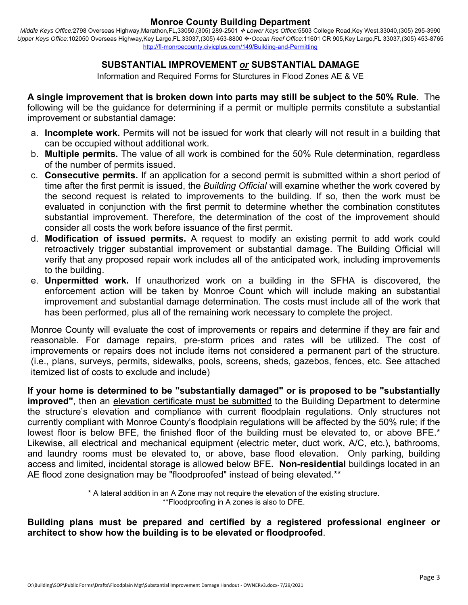*Middle Keys Office:*2798 Overseas Highway,Marathon,FL,33050,(305) 289-2501  *Lower Keys Office:*5503 College Road,Key West,33040,(305) 295-3990 Upper Keys Office:102050 Overseas Highway,Key Largo,FL,33037,(305) 453-8800 \* Ocean Reef Office:11601 CR 905,Key Largo,FL 33037,(305) 453-8765 http://fl-monroecounty.civicplus.com/149/Building-and-Permitting

# **SUBSTANTIAL IMPROVEMENT** *or* **SUBSTANTIAL DAMAGE**

Information and Required Forms for Sturctures in Flood Zones AE & VE

**A single improvement that is broken down into parts may still be subject to the 50% Rule**. The following will be the guidance for determining if a permit or multiple permits constitute a substantial improvement or substantial damage:

- a. **Incomplete work.** Permits will not be issued for work that clearly will not result in a building that can be occupied without additional work.
- b. **Multiple permits.** The value of all work is combined for the 50% Rule determination, regardless of the number of permits issued.
- c. **Consecutive permits.** If an application for a second permit is submitted within a short period of time after the first permit is issued, the *Building Official* will examine whether the work covered by the second request is related to improvements to the building. If so, then the work must be evaluated in conjunction with the first permit to determine whether the combination constitutes substantial improvement. Therefore, the determination of the cost of the improvement should consider all costs the work before issuance of the first permit.
- d. **Modification of issued permits.** A request to modify an existing permit to add work could retroactively trigger substantial improvement or substantial damage. The Building Official will verify that any proposed repair work includes all of the anticipated work, including improvements to the building.
- e. **Unpermitted work.** If unauthorized work on a building in the SFHA is discovered, the enforcement action will be taken by Monroe Count which will include making an substantial improvement and substantial damage determination. The costs must include all of the work that has been performed, plus all of the remaining work necessary to complete the project.

Monroe County will evaluate the cost of improvements or repairs and determine if they are fair and reasonable. For damage repairs, pre-storm prices and rates will be utilized. The cost of improvements or repairs does not include items not considered a permanent part of the structure. (i.e., plans, surveys, permits, sidewalks, pools, screens, sheds, gazebos, fences, etc. See attached itemized list of costs to exclude and include)

**If your home is determined to be "substantially damaged" or is proposed to be "substantially improved"**, then an elevation certificate must be submitted to the Building Department to determine the structure's elevation and compliance with current floodplain regulations. Only structures not currently compliant with Monroe County's floodplain regulations will be affected by the 50% rule; if the lowest floor is below BFE, the finished floor of the building must be elevated to, or above BFE.\* Likewise, all electrical and mechanical equipment (electric meter, duct work, A/C, etc.), bathrooms, and laundry rooms must be elevated to, or above, base flood elevation. Only parking, building access and limited, incidental storage is allowed below BFE**. Non-residential** buildings located in an AE flood zone designation may be "floodproofed" instead of being elevated.\*\*

> \* A lateral addition in an A Zone may not require the elevation of the existing structure. \*\*Floodproofing in A zones is also to DFE.

#### **Building plans must be prepared and certified by a registered professional engineer or architect to show how the building is to be elevated or floodproofed**.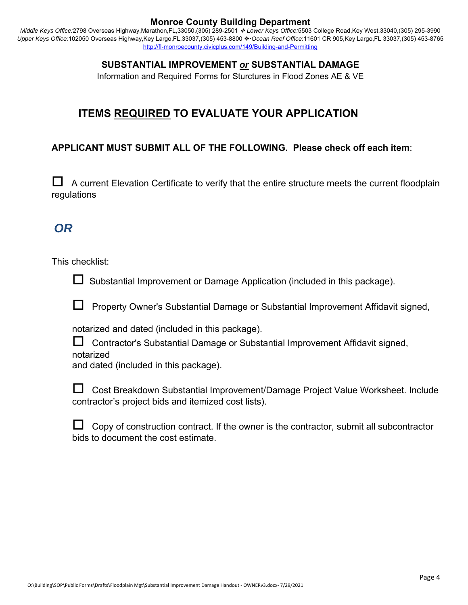*Middle Keys Office:*2798 Overseas Highway,Marathon,FL,33050,(305) 289-2501  *Lower Keys Office:*5503 College Road,Key West,33040,(305) 295-3990 Upper Keys Office:102050 Overseas Highway,Key Largo,FL,33037,(305) 453-8800 � Ocean Reef Office:11601 CR 905,Key Largo,FL 33037,(305) 453-8765 http://fl-monroecounty.civicplus.com/149/Building-and-Permitting

# **SUBSTANTIAL IMPROVEMENT** *or* **SUBSTANTIAL DAMAGE**

Information and Required Forms for Sturctures in Flood Zones AE & VE

# **ITEMS REQUIRED TO EVALUATE YOUR APPLICATION**

# **APPLICANT MUST SUBMIT ALL OF THE FOLLOWING. Please check off each item**:

 $\Box$  A current Elevation Certificate to verify that the entire structure meets the current floodplain regulations

# *OR*

This checklist:

 $\Box$  Substantial Improvement or Damage Application (included in this package).

 $\Box$  Property Owner's Substantial Damage or Substantial Improvement Affidavit signed,

notarized and dated (included in this package).

 Contractor's Substantial Damage or Substantial Improvement Affidavit signed, notarized

and dated (included in this package).

| □ Cost Breakdown Substantial Improvement/Damage Project Value Worksheet. Include |  |
|----------------------------------------------------------------------------------|--|
| contractor's project bids and itemized cost lists).                              |  |

| $\Box$ Copy of construction contract. If the owner is the contractor, submit all subcontractor |  |  |  |  |
|------------------------------------------------------------------------------------------------|--|--|--|--|
| bids to document the cost estimate.                                                            |  |  |  |  |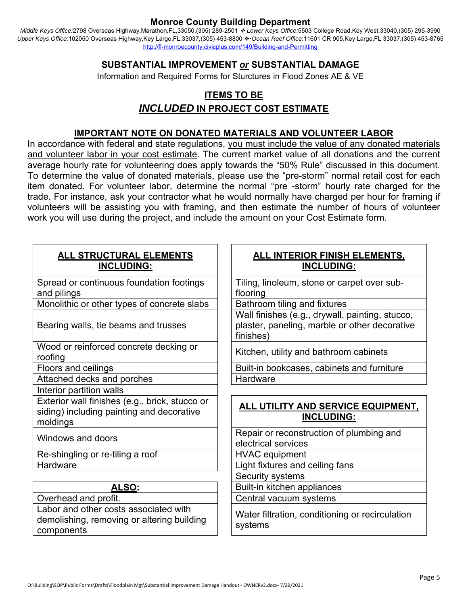*Middle Keys Office:*2798 Overseas Highway,Marathon,FL,33050,(305) 289-2501  *Lower Keys Office:*5503 College Road,Key West,33040,(305) 295-3990 Upper Keys Office:102050 Overseas Highway,Key Largo,FL,33037,(305) 453-8800 � Ocean Reef Office:11601 CR 905,Key Largo,FL 33037,(305) 453-8765 http://fl-monroecounty.civicplus.com/149/Building-and-Permitting

# **SUBSTANTIAL IMPROVEMENT** *or* **SUBSTANTIAL DAMAGE**

Information and Required Forms for Sturctures in Flood Zones AE & VE

# **ITEMS TO BE**  *INCLUDED* **IN PROJECT COST ESTIMATE**

#### **IMPORTANT NOTE ON DONATED MATERIALS AND VOLUNTEER LABOR**

In accordance with federal and state regulations, you must include the value of any donated materials and volunteer labor in your cost estimate. The current market value of all donations and the current average hourly rate for volunteering does apply towards the "50% Rule" discussed in this document. To determine the value of donated materials, please use the "pre-storm" normal retail cost for each item donated. For volunteer labor, determine the normal "pre -storm" hourly rate charged for the trade. For instance, ask your contractor what he would normally have charged per hour for framing if volunteers will be assisting you with framing, and then estimate the number of hours of volunteer work you will use during the project, and include the amount on your Cost Estimate form.

| <b>ALL STRUCTURAL ELEMENTS</b><br><b>INCLUDING:</b>                                                     | <b>ALL INTERIOR FINISH ELEMENTS,</b><br><b>INCLUDING:</b>                                                     |
|---------------------------------------------------------------------------------------------------------|---------------------------------------------------------------------------------------------------------------|
| Spread or continuous foundation footings                                                                | Tiling, linoleum, stone or carpet over sub-                                                                   |
| and pilings                                                                                             | flooring                                                                                                      |
| Monolithic or other types of concrete slabs                                                             | Bathroom tiling and fixtures                                                                                  |
| Bearing walls, tie beams and trusses                                                                    | Wall finishes (e.g., drywall, painting, stucco,<br>plaster, paneling, marble or other decorative<br>finishes) |
| Wood or reinforced concrete decking or<br>roofing                                                       | Kitchen, utility and bathroom cabinets                                                                        |
| Floors and ceilings                                                                                     | Built-in bookcases, cabinets and furniture                                                                    |
| Attached decks and porches                                                                              | Hardware                                                                                                      |
| Interior partition walls                                                                                |                                                                                                               |
| Exterior wall finishes (e.g., brick, stucco or<br>siding) including painting and decorative<br>moldings | ALL UTILITY AND SERVICE EQUIPMENT,<br><b>INCLUDING:</b>                                                       |
| Windows and doors                                                                                       | Repair or reconstruction of plumbing and<br>electrical services                                               |
| Re-shingling or re-tiling a roof                                                                        | <b>HVAC</b> equipment                                                                                         |
| Hardware                                                                                                | Light fixtures and ceiling fans                                                                               |
|                                                                                                         | Security systems                                                                                              |
| ALSO:                                                                                                   | Built-in kitchen appliances                                                                                   |
| Overhead and profit.                                                                                    | Central vacuum systems                                                                                        |
| Labor and other costs associated with<br>demolishing, removing or altering building<br>components       | Water filtration, conditioning or recirculation<br>systems                                                    |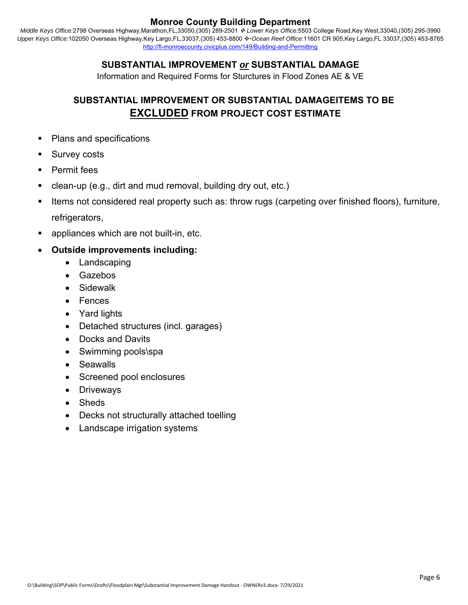*Middle Keys Office:*2798 Overseas Highway,Marathon,FL,33050,(305) 289-2501  *Lower Keys Office:*5503 College Road,Key West,33040,(305) 295-3990 Upper Keys Office:102050 Overseas Highway,Key Largo,FL,33037,(305) 453-8800 \* Ocean Reef Office:11601 CR 905,Key Largo,FL 33037,(305) 453-8765 http://fl-monroecounty.civicplus.com/149/Building-and-Permitting

# **SUBSTANTIAL IMPROVEMENT** *or* **SUBSTANTIAL DAMAGE**

Information and Required Forms for Sturctures in Flood Zones AE & VE

# **SUBSTANTIAL IMPROVEMENT OR SUBSTANTIAL DAMAGEITEMS TO BE EXCLUDED FROM PROJECT COST ESTIMATE**

- Plans and specifications
- Survey costs
- Permit fees
- clean-up (e.g., dirt and mud removal, building dry out, etc.)
- Items not considered real property such as: throw rugs (carpeting over finished floors), furniture, refrigerators,
- appliances which are not built-in, etc.

# **Outside improvements including:**

- Landscaping
- Gazebos
- Sidewalk
- Fences
- Yard lights
- Detached structures (incl. garages)
- Docks and Davits
- Swimming pools\spa
- **Seawalls**
- Screened pool enclosures
- Driveways
- Sheds
- Decks not structurally attached toelling
- Landscape irrigation systems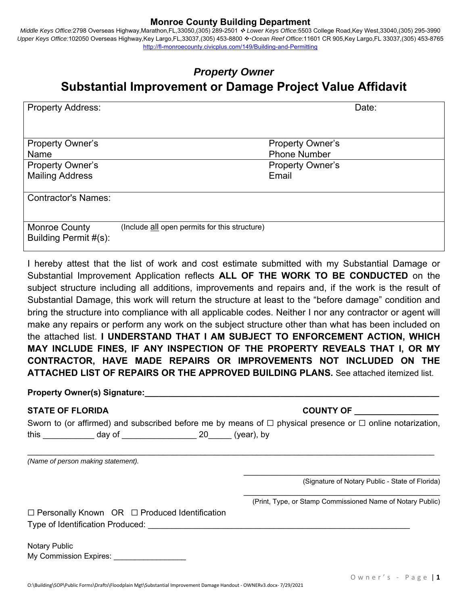*Middle Keys Office:*2798 Overseas Highway,Marathon,FL,33050,(305) 289-2501  *Lower Keys Office:*5503 College Road,Key West,33040,(305) 295-3990 Upper Keys Office:102050 Overseas Highway,Key Largo,FL,33037,(305) 453-8800 � Ocean Reef Office:11601 CR 905,Key Largo,FL 33037,(305) 453-8765 http://fl-monroecounty.civicplus.com/149/Building-and-Permitting

# *Property Owner*  **Substantial Improvement or Damage Project Value Affidavit**

| <b>Property Address:</b>   |                                               |                         | Date: |
|----------------------------|-----------------------------------------------|-------------------------|-------|
|                            |                                               |                         |       |
|                            |                                               |                         |       |
|                            |                                               |                         |       |
|                            |                                               |                         |       |
| <b>Property Owner's</b>    |                                               | <b>Property Owner's</b> |       |
| Name                       |                                               | <b>Phone Number</b>     |       |
|                            |                                               |                         |       |
| <b>Property Owner's</b>    |                                               | <b>Property Owner's</b> |       |
| <b>Mailing Address</b>     |                                               | Email                   |       |
|                            |                                               |                         |       |
|                            |                                               |                         |       |
| <b>Contractor's Names:</b> |                                               |                         |       |
|                            |                                               |                         |       |
|                            |                                               |                         |       |
|                            |                                               |                         |       |
| <b>Monroe County</b>       | (Include all open permits for this structure) |                         |       |
|                            |                                               |                         |       |
| Building Permit #(s):      |                                               |                         |       |
|                            |                                               |                         |       |

I hereby attest that the list of work and cost estimate submitted with my Substantial Damage or Substantial Improvement Application reflects **ALL OF THE WORK TO BE CONDUCTED** on the subject structure including all additions, improvements and repairs and, if the work is the result of Substantial Damage, this work will return the structure at least to the "before damage" condition and bring the structure into compliance with all applicable codes. Neither I nor any contractor or agent will make any repairs or perform any work on the subject structure other than what has been included on the attached list. **I UNDERSTAND THAT I AM SUBJECT TO ENFORCEMENT ACTION, WHICH MAY INCLUDE FINES, IF ANY INSPECTION OF THE PROPERTY REVEALS THAT I, OR MY CONTRACTOR, HAVE MADE REPAIRS OR IMPROVEMENTS NOT INCLUDED ON THE ATTACHED LIST OF REPAIRS OR THE APPROVED BUILDING PLANS.** See attached itemized list.

| <b>Property Owner(s) Signature:</b> |  |  |  |  |  |
|-------------------------------------|--|--|--|--|--|
|                                     |  |  |  |  |  |

# STATE OF FLORIDA **COUNTY OF**

|      | Sworn to (or affirmed) and subscribed before me by means of $\Box$ physical presence or $\Box$ online notarization, |            |  |
|------|---------------------------------------------------------------------------------------------------------------------|------------|--|
| this | day of                                                                                                              | (year), by |  |

 $\mathcal{L}_\mathcal{L} = \mathcal{L}_\mathcal{L} = \mathcal{L}_\mathcal{L} = \mathcal{L}_\mathcal{L} = \mathcal{L}_\mathcal{L} = \mathcal{L}_\mathcal{L} = \mathcal{L}_\mathcal{L} = \mathcal{L}_\mathcal{L} = \mathcal{L}_\mathcal{L} = \mathcal{L}_\mathcal{L} = \mathcal{L}_\mathcal{L} = \mathcal{L}_\mathcal{L} = \mathcal{L}_\mathcal{L} = \mathcal{L}_\mathcal{L} = \mathcal{L}_\mathcal{L} = \mathcal{L}_\mathcal{L} = \mathcal{L}_\mathcal{L}$ 

*(Name of person making statement).* 

(Signature of Notary Public - State of Florida)

(Print, Type, or Stamp Commissioned Name of Notary Public)

\_\_\_\_\_\_\_\_\_\_\_\_\_\_\_\_\_\_\_\_\_\_\_\_\_\_\_\_\_\_\_\_\_\_\_\_\_\_\_\_\_\_

☐ Personally Known OR ☐ Produced Identification Type of Identification Produced:

Notary Public My Commission Expires: \_\_\_\_\_\_\_\_\_\_\_\_\_\_\_\_\_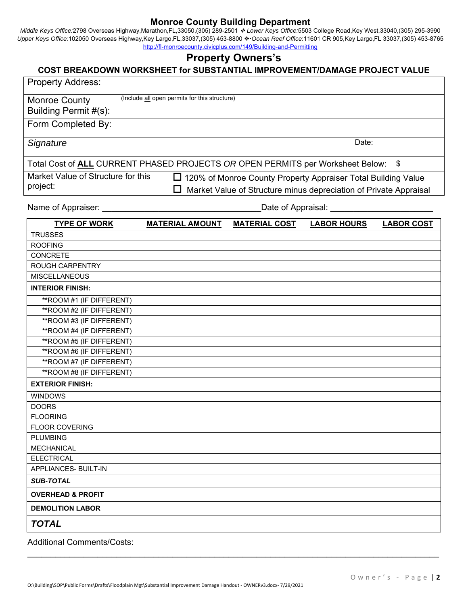*Middle Keys Office:*2798 Overseas Highway,Marathon,FL,33050,(305) 289-2501  *Lower Keys Office:*5503 College Road,Key West,33040,(305) 295-3990 Upper Keys Office:102050 Overseas Highway,Key Largo,FL,33037,(305) 453-8800 *↔ Ocean Reef Office*:11601 CR 905,Key Largo,FL 33037,(305) 453-8765 http://fl-monroecounty.civicplus.com/149/Building-and-Permitting

# **Property Owners's**

#### **COST BREAKDOWN WORKSHEET for SUBSTANTIAL IMPROVEMENT/DAMAGE PROJECT VALUE**

| <b>Property Address:</b>                      |                                                                                             |                                                                   |                    |                   |  |  |  |  |
|-----------------------------------------------|---------------------------------------------------------------------------------------------|-------------------------------------------------------------------|--------------------|-------------------|--|--|--|--|
| <b>Monroe County</b><br>Building Permit #(s): | (Include all open permits for this structure)                                               |                                                                   |                    |                   |  |  |  |  |
| Form Completed By:                            |                                                                                             |                                                                   |                    |                   |  |  |  |  |
| Date:<br>Signature                            |                                                                                             |                                                                   |                    |                   |  |  |  |  |
|                                               | Total Cost of <b>ALL</b> CURRENT PHASED PROJECTS OR OPEN PERMITS per Worksheet Below:<br>\$ |                                                                   |                    |                   |  |  |  |  |
| Market Value of Structure for this            |                                                                                             | □ 120% of Monroe County Property Appraiser Total Building Value   |                    |                   |  |  |  |  |
| project:                                      |                                                                                             | Market Value of Structure minus depreciation of Private Appraisal |                    |                   |  |  |  |  |
| Name of Appraiser:                            |                                                                                             | Date of Appraisal:                                                |                    |                   |  |  |  |  |
| <b>TYPE OF WORK</b>                           | <b>MATERIAL AMOUNT</b>                                                                      | <b>MATERIAL COST</b>                                              | <b>LABOR HOURS</b> | <b>LABOR COST</b> |  |  |  |  |
| <b>TRUSSES</b>                                |                                                                                             |                                                                   |                    |                   |  |  |  |  |
| <b>ROOFING</b>                                |                                                                                             |                                                                   |                    |                   |  |  |  |  |
| <b>CONCRETE</b>                               |                                                                                             |                                                                   |                    |                   |  |  |  |  |
| <b>ROUGH CARPENTRY</b>                        |                                                                                             |                                                                   |                    |                   |  |  |  |  |
| <b>MISCELLANEOUS</b>                          |                                                                                             |                                                                   |                    |                   |  |  |  |  |
| <b>INTERIOR FINISH:</b>                       |                                                                                             |                                                                   |                    |                   |  |  |  |  |
| ** ROOM #1 (IF DIFFERENT)                     |                                                                                             |                                                                   |                    |                   |  |  |  |  |
| ** ROOM #2 (IF DIFFERENT)                     |                                                                                             |                                                                   |                    |                   |  |  |  |  |
| ** ROOM #3 (IF DIFFERENT)                     |                                                                                             |                                                                   |                    |                   |  |  |  |  |
| ** ROOM #4 (IF DIFFERENT)                     |                                                                                             |                                                                   |                    |                   |  |  |  |  |
| ** ROOM #5 (IF DIFFERENT)                     |                                                                                             |                                                                   |                    |                   |  |  |  |  |
| ** ROOM #6 (IF DIFFERENT)                     |                                                                                             |                                                                   |                    |                   |  |  |  |  |
| ** ROOM #7 (IF DIFFERENT)                     |                                                                                             |                                                                   |                    |                   |  |  |  |  |
| ** ROOM #8 (IF DIFFERENT)                     |                                                                                             |                                                                   |                    |                   |  |  |  |  |
| <b>EXTERIOR FINISH:</b>                       |                                                                                             |                                                                   |                    |                   |  |  |  |  |
| <b>WINDOWS</b>                                |                                                                                             |                                                                   |                    |                   |  |  |  |  |
| <b>DOORS</b>                                  |                                                                                             |                                                                   |                    |                   |  |  |  |  |
| <b>FLOORING</b>                               |                                                                                             |                                                                   |                    |                   |  |  |  |  |
| <b>FLOOR COVERING</b>                         |                                                                                             |                                                                   |                    |                   |  |  |  |  |
| <b>PLUMBING</b>                               |                                                                                             |                                                                   |                    |                   |  |  |  |  |
| <b>MECHANICAL</b>                             |                                                                                             |                                                                   |                    |                   |  |  |  |  |
| <b>ELECTRICAL</b>                             |                                                                                             |                                                                   |                    |                   |  |  |  |  |
| APPLIANCES- BUILT-IN                          |                                                                                             |                                                                   |                    |                   |  |  |  |  |
| <b>SUB-TOTAL</b>                              |                                                                                             |                                                                   |                    |                   |  |  |  |  |
| <b>OVERHEAD &amp; PROFIT</b>                  |                                                                                             |                                                                   |                    |                   |  |  |  |  |
| <b>DEMOLITION LABOR</b>                       |                                                                                             |                                                                   |                    |                   |  |  |  |  |
| <b>TOTAL</b>                                  |                                                                                             |                                                                   |                    |                   |  |  |  |  |

 $\mathcal{L}_\mathcal{L} = \mathcal{L}_\mathcal{L} = \mathcal{L}_\mathcal{L} = \mathcal{L}_\mathcal{L} = \mathcal{L}_\mathcal{L} = \mathcal{L}_\mathcal{L} = \mathcal{L}_\mathcal{L} = \mathcal{L}_\mathcal{L} = \mathcal{L}_\mathcal{L} = \mathcal{L}_\mathcal{L} = \mathcal{L}_\mathcal{L} = \mathcal{L}_\mathcal{L} = \mathcal{L}_\mathcal{L} = \mathcal{L}_\mathcal{L} = \mathcal{L}_\mathcal{L} = \mathcal{L}_\mathcal{L} = \mathcal{L}_\mathcal{L}$ 

Additional Comments/Costs: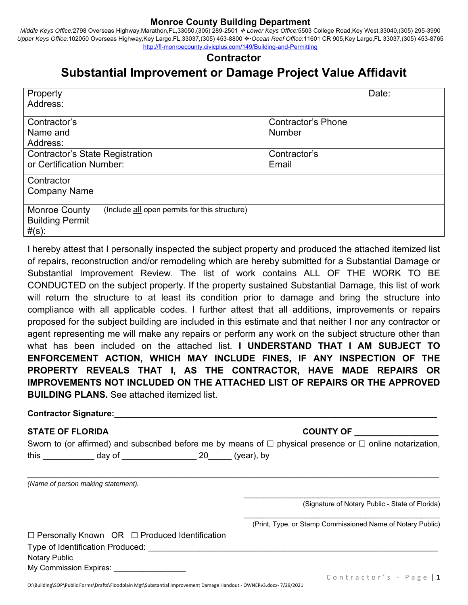*Middle Keys Office:*2798 Overseas Highway,Marathon,FL,33050,(305) 289-2501  *Lower Keys Office:*5503 College Road,Key West,33040,(305) 295-3990 Upper Keys Office:102050 Overseas Highway,Key Largo,FL,33037,(305) 453-8800 � Ocean Reef Office:11601 CR 905,Key Largo,FL 33037,(305) 453-8765 http://fl-monroecounty.civicplus.com/149/Building-and-Permitting

# **Contractor**

# **Substantial Improvement or Damage Project Value Affidavit**

| Property<br>Address:                                                                                     | Date:                                      |
|----------------------------------------------------------------------------------------------------------|--------------------------------------------|
| Contractor's<br>Name and<br>Address:                                                                     | <b>Contractor's Phone</b><br><b>Number</b> |
| <b>Contractor's State Registration</b><br>or Certification Number:                                       | Contractor's<br>Email                      |
| Contractor<br><b>Company Name</b>                                                                        |                                            |
| (Include all open permits for this structure)<br><b>Monroe County</b><br><b>Building Permit</b><br>#(s): |                                            |

I hereby attest that I personally inspected the subject property and produced the attached itemized list of repairs, reconstruction and/or remodeling which are hereby submitted for a Substantial Damage or Substantial Improvement Review. The list of work contains ALL OF THE WORK TO BE CONDUCTED on the subject property. If the property sustained Substantial Damage, this list of work will return the structure to at least its condition prior to damage and bring the structure into compliance with all applicable codes. I further attest that all additions, improvements or repairs proposed for the subject building are included in this estimate and that neither I nor any contractor or agent representing me will make any repairs or perform any work on the subject structure other than what has been included on the attached list. **I UNDERSTAND THAT I AM SUBJECT TO ENFORCEMENT ACTION, WHICH MAY INCLUDE FINES, IF ANY INSPECTION OF THE PROPERTY REVEALS THAT I, AS THE CONTRACTOR, HAVE MADE REPAIRS OR IMPROVEMENTS NOT INCLUDED ON THE ATTACHED LIST OF REPAIRS OR THE APPROVED BUILDING PLANS.** See attached itemized list.

Contractor Signature:

#### **STATE OF FLORIDA COUNTY OF**

|      | Sworn to (or affirmed) and subscribed before me by means of $\Box$ physical presence or $\Box$ online notarization, |            |  |
|------|---------------------------------------------------------------------------------------------------------------------|------------|--|
| this | day of                                                                                                              | (year), by |  |

 $\mathcal{L}_\mathcal{L} = \mathcal{L}_\mathcal{L} = \mathcal{L}_\mathcal{L} = \mathcal{L}_\mathcal{L} = \mathcal{L}_\mathcal{L} = \mathcal{L}_\mathcal{L} = \mathcal{L}_\mathcal{L} = \mathcal{L}_\mathcal{L} = \mathcal{L}_\mathcal{L} = \mathcal{L}_\mathcal{L} = \mathcal{L}_\mathcal{L} = \mathcal{L}_\mathcal{L} = \mathcal{L}_\mathcal{L} = \mathcal{L}_\mathcal{L} = \mathcal{L}_\mathcal{L} = \mathcal{L}_\mathcal{L} = \mathcal{L}_\mathcal{L}$ 

*(Name of person making statement).* 

(Signature of Notary Public - State of Florida)

\_\_\_\_\_\_\_\_\_\_\_\_\_\_\_\_\_\_\_\_\_\_\_\_\_\_\_\_\_\_\_\_\_\_\_\_\_\_\_\_\_\_ (Print, Type, or Stamp Commissioned Name of Notary Public)

\_\_\_\_\_\_\_\_\_\_\_\_\_\_\_\_\_\_\_\_\_\_\_\_\_\_\_\_\_\_\_\_\_\_\_\_\_\_\_\_\_\_

| $\Box$ Personally Known OR $\Box$ Produced Identification |  |
|-----------------------------------------------------------|--|
|-----------------------------------------------------------|--|

Type of Identification Produced:

Notary Public

My Commission Expires: